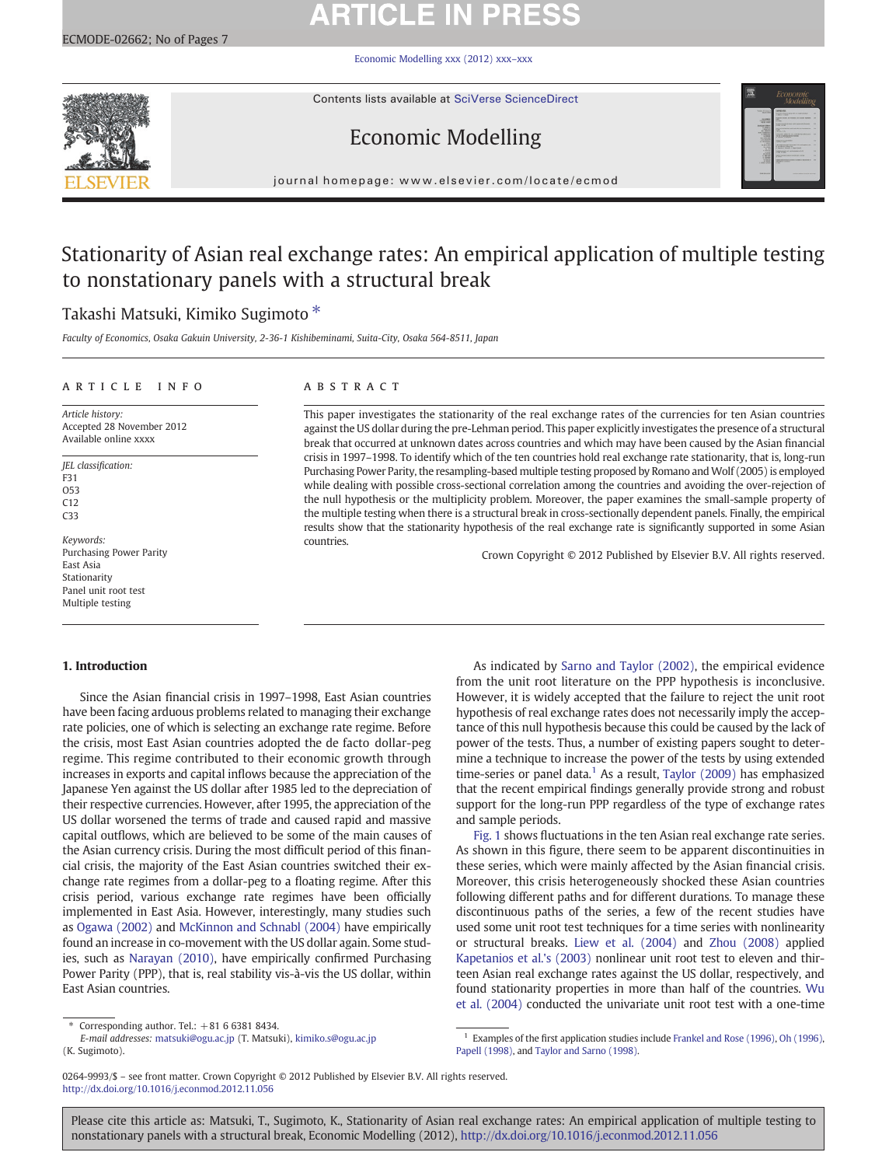# **ARTICLE IN PRESS**

[Economic Modelling xxx \(2012\) xxx](http://dx.doi.org/10.1016/j.econmod.2012.11.056)–xxx



Contents lists available at [SciVerse ScienceDirect](http://www.sciencedirect.com/science/journal/02649993)

## Economic Modelling



journal homepage: www.elsevier.com/locate/ecmod

## Stationarity of Asian real exchange rates: An empirical application of multiple testing to nonstationary panels with a structural break

## Takashi Matsuki, Kimiko Sugimoto<sup>\*</sup>

Faculty of Economics, Osaka Gakuin University, 2-36-1 Kishibeminami, Suita-City, Osaka 564-8511, Japan

### ARTICLE INFO ABSTRACT

Article history: Accepted 28 November 2012 Available online xxxx

JEL classification: F31 O53  $C12$ C33

Keywords: Purchasing Power Parity East Asia Stationarity Panel unit root test Multiple testing

#### 1. Introduction

Since the Asian financial crisis in 1997–1998, East Asian countries have been facing arduous problems related to managing their exchange rate policies, one of which is selecting an exchange rate regime. Before the crisis, most East Asian countries adopted the de facto dollar-peg regime. This regime contributed to their economic growth through increases in exports and capital inflows because the appreciation of the Japanese Yen against the US dollar after 1985 led to the depreciation of their respective currencies. However, after 1995, the appreciation of the US dollar worsened the terms of trade and caused rapid and massive capital outflows, which are believed to be some of the main causes of the Asian currency crisis. During the most difficult period of this financial crisis, the majority of the East Asian countries switched their exchange rate regimes from a dollar-peg to a floating regime. After this crisis period, various exchange rate regimes have been officially implemented in East Asia. However, interestingly, many studies such as [Ogawa \(2002\)](#page--1-0) and [McKinnon and Schnabl \(2004\)](#page--1-0) have empirically found an increase in co-movement with the US dollar again. Some studies, such as [Narayan \(2010\),](#page--1-0) have empirically confirmed Purchasing Power Parity (PPP), that is, real stability vis-à-vis the US dollar, within East Asian countries.

This paper investigates the stationarity of the real exchange rates of the currencies for ten Asian countries against the US dollar during the pre-Lehman period. This paper explicitly investigates the presence of a structural break that occurred at unknown dates across countries and which may have been caused by the Asian financial crisis in 1997–1998. To identify which of the ten countries hold real exchange rate stationarity, that is, long-run Purchasing Power Parity, the resampling-based multiple testing proposed by Romano and Wolf (2005) is employed while dealing with possible cross-sectional correlation among the countries and avoiding the over-rejection of the null hypothesis or the multiplicity problem. Moreover, the paper examines the small-sample property of the multiple testing when there is a structural break in cross-sectionally dependent panels. Finally, the empirical results show that the stationarity hypothesis of the real exchange rate is significantly supported in some Asian countries.

Crown Copyright © 2012 Published by Elsevier B.V. All rights reserved.

As indicated by [Sarno and Taylor \(2002\)](#page--1-0), the empirical evidence from the unit root literature on the PPP hypothesis is inconclusive. However, it is widely accepted that the failure to reject the unit root hypothesis of real exchange rates does not necessarily imply the acceptance of this null hypothesis because this could be caused by the lack of power of the tests. Thus, a number of existing papers sought to determine a technique to increase the power of the tests by using extended time-series or panel data.<sup>1</sup> As a result, Taylor  $(2009)$  has emphasized that the recent empirical findings generally provide strong and robust support for the long-run PPP regardless of the type of exchange rates and sample periods.

[Fig. 1](#page-1-0) shows fluctuations in the ten Asian real exchange rate series. As shown in this figure, there seem to be apparent discontinuities in these series, which were mainly affected by the Asian financial crisis. Moreover, this crisis heterogeneously shocked these Asian countries following different paths and for different durations. To manage these discontinuous paths of the series, a few of the recent studies have used some unit root test techniques for a time series with nonlinearity or structural breaks. [Liew et al. \(2004\)](#page--1-0) and [Zhou \(2008\)](#page--1-0) applied [Kapetanios et al.'s \(2003\)](#page--1-0) nonlinear unit root test to eleven and thirteen Asian real exchange rates against the US dollar, respectively, and found stationarity properties in more than half of the countries. [Wu](#page--1-0) [et al. \(2004\)](#page--1-0) conducted the univariate unit root test with a one-time

0264-9993/\$ – see front matter. Crown Copyright © 2012 Published by Elsevier B.V. All rights reserved. <http://dx.doi.org/10.1016/j.econmod.2012.11.056>

Please cite this article as: Matsuki, T., Sugimoto, K., Stationarity of Asian real exchange rates: An empirical application of multiple testing to nonstationary panels with a structural break, Economic Modelling (2012), <http://dx.doi.org/10.1016/j.econmod.2012.11.056>

Corresponding author. Tel.:  $+81$  6 6381 8434.

E-mail addresses: [matsuki@ogu.ac.jp](mailto:matsuki@ogu.ac.jp) (T. Matsuki), [kimiko.s@ogu.ac.jp](mailto:kimiko.s@ogu.ac.jp) (K. Sugimoto).

<sup>&</sup>lt;sup>1</sup> Examples of the first application studies include [Frankel and Rose \(1996\),](#page--1-0) [Oh \(1996\)](#page--1-0), [Papell \(1998\)](#page--1-0), and [Taylor and Sarno \(1998\).](#page--1-0)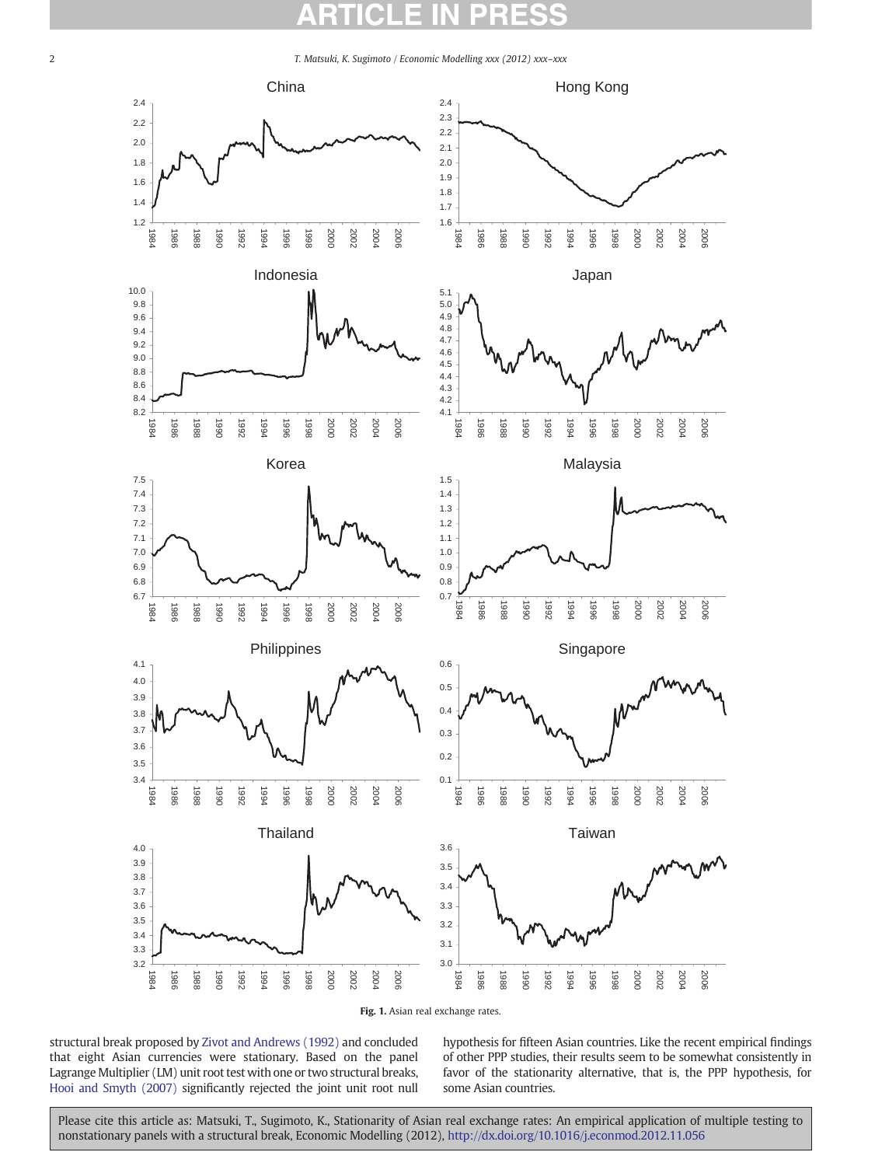<span id="page-1-0"></span>2 T. Matsuki, K. Sugimoto / Economic Modelling xxx (2012) xxx–xxx



Fig. 1. Asian real exchange rates.

structural break proposed by [Zivot and Andrews \(1992\)](#page--1-0) and concluded that eight Asian currencies were stationary. Based on the panel Lagrange Multiplier (LM) unit root test with one or two structural breaks, [Hooi and Smyth \(2007\)](#page--1-0) significantly rejected the joint unit root null hypothesis for fifteen Asian countries. Like the recent empirical findings of other PPP studies, their results seem to be somewhat consistently in favor of the stationarity alternative, that is, the PPP hypothesis, for some Asian countries.

Please cite this article as: Matsuki, T., Sugimoto, K., Stationarity of Asian real exchange rates: An empirical application of multiple testing to nonstationary panels with a structural break, Economic Modelling (2012), <http://dx.doi.org/10.1016/j.econmod.2012.11.056>